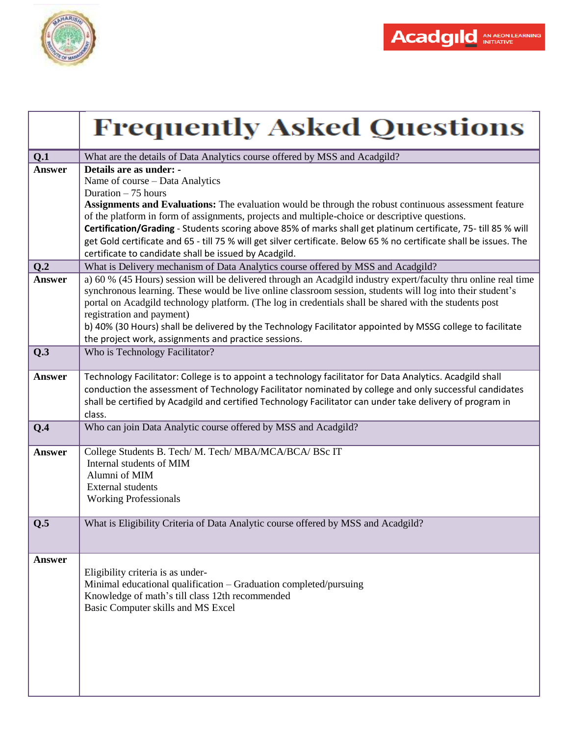

|               | <b>Frequently Asked Questions</b>                                                                                                                                                                                                     |
|---------------|---------------------------------------------------------------------------------------------------------------------------------------------------------------------------------------------------------------------------------------|
| Q.1           | What are the details of Data Analytics course offered by MSS and Acadgild?                                                                                                                                                            |
| <b>Answer</b> | Details are as under: -                                                                                                                                                                                                               |
|               | Name of course - Data Analytics                                                                                                                                                                                                       |
|               | Duration $-75$ hours                                                                                                                                                                                                                  |
|               | <b>Assignments and Evaluations:</b> The evaluation would be through the robust continuous assessment feature                                                                                                                          |
|               | of the platform in form of assignments, projects and multiple-choice or descriptive questions.                                                                                                                                        |
|               | Certification/Grading - Students scoring above 85% of marks shall get platinum certificate, 75- till 85 % will<br>get Gold certificate and 65 - till 75 % will get silver certificate. Below 65 % no certificate shall be issues. The |
|               | certificate to candidate shall be issued by Acadgild.                                                                                                                                                                                 |
| Q.2           | What is Delivery mechanism of Data Analytics course offered by MSS and Acadgild?                                                                                                                                                      |
| <b>Answer</b> | a) 60 % (45 Hours) session will be delivered through an Acadgild industry expert/faculty thru online real time                                                                                                                        |
|               | synchronous learning. These would be live online classroom session, students will log into their student's                                                                                                                            |
|               | portal on Acadgild technology platform. (The log in credentials shall be shared with the students post                                                                                                                                |
|               | registration and payment)                                                                                                                                                                                                             |
|               | b) 40% (30 Hours) shall be delivered by the Technology Facilitator appointed by MSSG college to facilitate                                                                                                                            |
|               | the project work, assignments and practice sessions.                                                                                                                                                                                  |
| Q.3           | Who is Technology Facilitator?                                                                                                                                                                                                        |
| <b>Answer</b> | Technology Facilitator: College is to appoint a technology facilitator for Data Analytics. Acadgild shall                                                                                                                             |
|               | conduction the assessment of Technology Facilitator nominated by college and only successful candidates                                                                                                                               |
|               | shall be certified by Acadgild and certified Technology Facilitator can under take delivery of program in                                                                                                                             |
|               | class.                                                                                                                                                                                                                                |
| Q.4           | Who can join Data Analytic course offered by MSS and Acadgild?                                                                                                                                                                        |
| <b>Answer</b> | College Students B. Tech/ M. Tech/ MBA/MCA/BCA/ BSc IT                                                                                                                                                                                |
|               | Internal students of MIM                                                                                                                                                                                                              |
|               | Alumni of MIM                                                                                                                                                                                                                         |
|               | <b>External students</b>                                                                                                                                                                                                              |
|               | <b>Working Professionals</b>                                                                                                                                                                                                          |
| Q.5           | What is Eligibility Criteria of Data Analytic course offered by MSS and Acadgild?                                                                                                                                                     |
|               |                                                                                                                                                                                                                                       |
|               |                                                                                                                                                                                                                                       |
| <b>Answer</b> |                                                                                                                                                                                                                                       |
|               | Eligibility criteria is as under-                                                                                                                                                                                                     |
|               | Minimal educational qualification - Graduation completed/pursuing                                                                                                                                                                     |
|               | Knowledge of math's till class 12th recommended                                                                                                                                                                                       |
|               | Basic Computer skills and MS Excel                                                                                                                                                                                                    |
|               |                                                                                                                                                                                                                                       |
|               |                                                                                                                                                                                                                                       |
|               |                                                                                                                                                                                                                                       |
|               |                                                                                                                                                                                                                                       |
|               |                                                                                                                                                                                                                                       |
|               |                                                                                                                                                                                                                                       |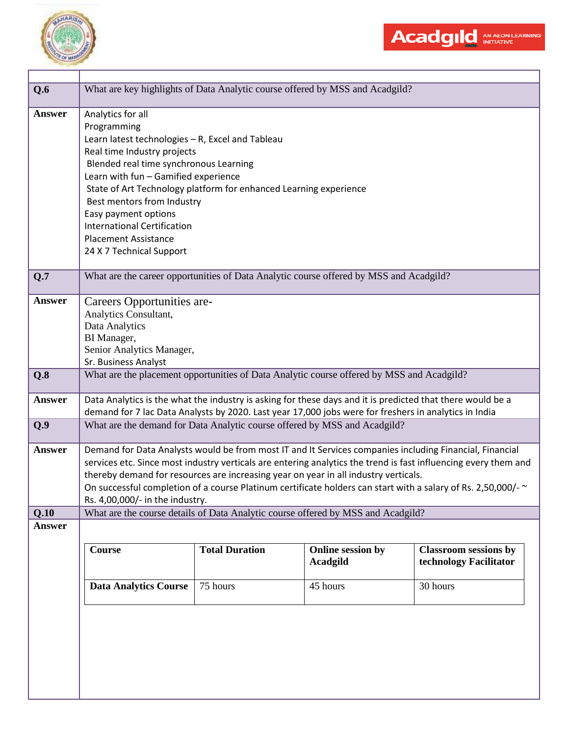

| Q.6           | What are key highlights of Data Analytic course offered by MSS and Acadgild?                               |                                                                                                                                                                                                      |                   |                                                                                                                 |  |
|---------------|------------------------------------------------------------------------------------------------------------|------------------------------------------------------------------------------------------------------------------------------------------------------------------------------------------------------|-------------------|-----------------------------------------------------------------------------------------------------------------|--|
| <b>Answer</b> | Analytics for all                                                                                          |                                                                                                                                                                                                      |                   |                                                                                                                 |  |
|               | Programming                                                                                                |                                                                                                                                                                                                      |                   |                                                                                                                 |  |
|               | Learn latest technologies - R, Excel and Tableau                                                           |                                                                                                                                                                                                      |                   |                                                                                                                 |  |
|               | Real time Industry projects                                                                                |                                                                                                                                                                                                      |                   |                                                                                                                 |  |
|               | Blended real time synchronous Learning                                                                     |                                                                                                                                                                                                      |                   |                                                                                                                 |  |
|               | Learn with fun - Gamified experience                                                                       |                                                                                                                                                                                                      |                   |                                                                                                                 |  |
|               | State of Art Technology platform for enhanced Learning experience                                          |                                                                                                                                                                                                      |                   |                                                                                                                 |  |
|               | Best mentors from Industry                                                                                 |                                                                                                                                                                                                      |                   |                                                                                                                 |  |
|               | Easy payment options                                                                                       |                                                                                                                                                                                                      |                   |                                                                                                                 |  |
|               | <b>International Certification</b>                                                                         |                                                                                                                                                                                                      |                   |                                                                                                                 |  |
|               | <b>Placement Assistance</b>                                                                                |                                                                                                                                                                                                      |                   |                                                                                                                 |  |
|               | 24 X 7 Technical Support                                                                                   |                                                                                                                                                                                                      |                   |                                                                                                                 |  |
|               |                                                                                                            |                                                                                                                                                                                                      |                   |                                                                                                                 |  |
| Q.7           | What are the career opportunities of Data Analytic course offered by MSS and Acadgild?                     |                                                                                                                                                                                                      |                   |                                                                                                                 |  |
|               |                                                                                                            |                                                                                                                                                                                                      |                   |                                                                                                                 |  |
| <b>Answer</b> | Careers Opportunities are-                                                                                 |                                                                                                                                                                                                      |                   |                                                                                                                 |  |
|               | Analytics Consultant,                                                                                      |                                                                                                                                                                                                      |                   |                                                                                                                 |  |
|               | Data Analytics                                                                                             |                                                                                                                                                                                                      |                   |                                                                                                                 |  |
|               | BI Manager,                                                                                                |                                                                                                                                                                                                      |                   |                                                                                                                 |  |
|               | Senior Analytics Manager,                                                                                  |                                                                                                                                                                                                      |                   |                                                                                                                 |  |
|               | Sr. Business Analyst                                                                                       |                                                                                                                                                                                                      |                   |                                                                                                                 |  |
| Q.8           | What are the placement opportunities of Data Analytic course offered by MSS and Acadgild?                  |                                                                                                                                                                                                      |                   |                                                                                                                 |  |
| <b>Answer</b> | Data Analytics is the what the industry is asking for these days and it is predicted that there would be a |                                                                                                                                                                                                      |                   |                                                                                                                 |  |
|               | demand for 7 lac Data Analysts by 2020. Last year 17,000 jobs were for freshers in analytics in India      |                                                                                                                                                                                                      |                   |                                                                                                                 |  |
|               | What are the demand for Data Analytic course offered by MSS and Acadgild?                                  |                                                                                                                                                                                                      |                   |                                                                                                                 |  |
| Q.9           |                                                                                                            |                                                                                                                                                                                                      |                   |                                                                                                                 |  |
| Answer        | Demand for Data Analysts would be from most IT and It Services companies including Financial, Financial    |                                                                                                                                                                                                      |                   |                                                                                                                 |  |
|               |                                                                                                            |                                                                                                                                                                                                      |                   | services etc. Since most industry verticals are entering analytics the trend is fast influencing every them and |  |
|               |                                                                                                            |                                                                                                                                                                                                      |                   |                                                                                                                 |  |
|               |                                                                                                            | thereby demand for resources are increasing year on year in all industry verticals.<br>On successful completion of a course Platinum certificate holders can start with a salary of Rs. 2,50,000/- ~ |                   |                                                                                                                 |  |
|               | Rs. 4,00,000/- in the industry.                                                                            |                                                                                                                                                                                                      |                   |                                                                                                                 |  |
| Q.10          | What are the course details of Data Analytic course offered by MSS and Acadgild?                           |                                                                                                                                                                                                      |                   |                                                                                                                 |  |
| <b>Answer</b> |                                                                                                            |                                                                                                                                                                                                      |                   |                                                                                                                 |  |
|               |                                                                                                            |                                                                                                                                                                                                      |                   |                                                                                                                 |  |
|               | <b>Course</b>                                                                                              | <b>Total Duration</b>                                                                                                                                                                                | Online session by | <b>Classroom sessions by</b>                                                                                    |  |
|               |                                                                                                            |                                                                                                                                                                                                      | <b>Acadgild</b>   | technology Facilitator                                                                                          |  |
|               |                                                                                                            |                                                                                                                                                                                                      |                   |                                                                                                                 |  |
|               | <b>Data Analytics Course</b>                                                                               | 75 hours                                                                                                                                                                                             | 45 hours          | 30 hours                                                                                                        |  |
|               |                                                                                                            |                                                                                                                                                                                                      |                   |                                                                                                                 |  |
|               |                                                                                                            |                                                                                                                                                                                                      |                   |                                                                                                                 |  |
|               |                                                                                                            |                                                                                                                                                                                                      |                   |                                                                                                                 |  |
|               |                                                                                                            |                                                                                                                                                                                                      |                   |                                                                                                                 |  |
|               |                                                                                                            |                                                                                                                                                                                                      |                   |                                                                                                                 |  |
|               |                                                                                                            |                                                                                                                                                                                                      |                   |                                                                                                                 |  |
|               |                                                                                                            |                                                                                                                                                                                                      |                   |                                                                                                                 |  |

Acadgild AN AEON LEARNING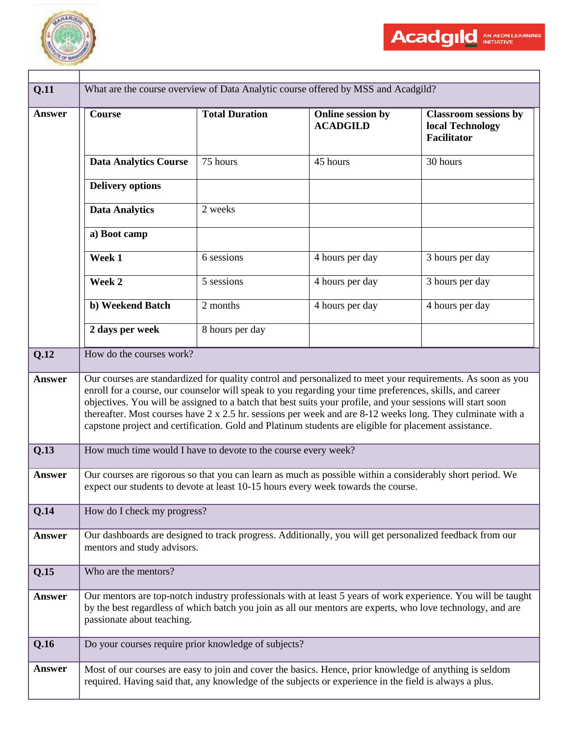

| Q.11          |                                                                                                                                                                                                                                                                                                                                                                                                                                                                                                                                                               |                                                                                                                                                                                                                              | What are the course overview of Data Analytic course offered by MSS and Acadgild?                        |                                                                        |
|---------------|---------------------------------------------------------------------------------------------------------------------------------------------------------------------------------------------------------------------------------------------------------------------------------------------------------------------------------------------------------------------------------------------------------------------------------------------------------------------------------------------------------------------------------------------------------------|------------------------------------------------------------------------------------------------------------------------------------------------------------------------------------------------------------------------------|----------------------------------------------------------------------------------------------------------|------------------------------------------------------------------------|
| <b>Answer</b> | <b>Course</b>                                                                                                                                                                                                                                                                                                                                                                                                                                                                                                                                                 | <b>Total Duration</b>                                                                                                                                                                                                        | Online session by<br><b>ACADGILD</b>                                                                     | <b>Classroom sessions by</b><br>local Technology<br><b>Facilitator</b> |
|               | <b>Data Analytics Course</b>                                                                                                                                                                                                                                                                                                                                                                                                                                                                                                                                  | 75 hours                                                                                                                                                                                                                     | 45 hours                                                                                                 | 30 hours                                                               |
|               | <b>Delivery options</b>                                                                                                                                                                                                                                                                                                                                                                                                                                                                                                                                       |                                                                                                                                                                                                                              |                                                                                                          |                                                                        |
|               | <b>Data Analytics</b>                                                                                                                                                                                                                                                                                                                                                                                                                                                                                                                                         | 2 weeks                                                                                                                                                                                                                      |                                                                                                          |                                                                        |
|               | a) Boot camp                                                                                                                                                                                                                                                                                                                                                                                                                                                                                                                                                  |                                                                                                                                                                                                                              |                                                                                                          |                                                                        |
|               | Week 1                                                                                                                                                                                                                                                                                                                                                                                                                                                                                                                                                        | 6 sessions                                                                                                                                                                                                                   | 4 hours per day                                                                                          | 3 hours per day                                                        |
|               | Week 2                                                                                                                                                                                                                                                                                                                                                                                                                                                                                                                                                        | 5 sessions                                                                                                                                                                                                                   | 4 hours per day                                                                                          | 3 hours per day                                                        |
|               | b) Weekend Batch                                                                                                                                                                                                                                                                                                                                                                                                                                                                                                                                              | 2 months                                                                                                                                                                                                                     | 4 hours per day                                                                                          | 4 hours per day                                                        |
|               | 2 days per week                                                                                                                                                                                                                                                                                                                                                                                                                                                                                                                                               | 8 hours per day                                                                                                                                                                                                              |                                                                                                          |                                                                        |
| Q.12          | How do the courses work?                                                                                                                                                                                                                                                                                                                                                                                                                                                                                                                                      |                                                                                                                                                                                                                              |                                                                                                          |                                                                        |
| <b>Answer</b> | Our courses are standardized for quality control and personalized to meet your requirements. As soon as you<br>enroll for a course, our counselor will speak to you regarding your time preferences, skills, and career<br>objectives. You will be assigned to a batch that best suits your profile, and your sessions will start soon<br>thereafter. Most courses have 2 x 2.5 hr. sessions per week and are 8-12 weeks long. They culminate with a<br>capstone project and certification. Gold and Platinum students are eligible for placement assistance. |                                                                                                                                                                                                                              |                                                                                                          |                                                                        |
| Q.13          | How much time would I have to devote to the course every week?                                                                                                                                                                                                                                                                                                                                                                                                                                                                                                |                                                                                                                                                                                                                              |                                                                                                          |                                                                        |
| <b>Answer</b> | Our courses are rigorous so that you can learn as much as possible within a considerably short period. We<br>expect our students to devote at least 10-15 hours every week towards the course.                                                                                                                                                                                                                                                                                                                                                                |                                                                                                                                                                                                                              |                                                                                                          |                                                                        |
| Q.14          | How do I check my progress?                                                                                                                                                                                                                                                                                                                                                                                                                                                                                                                                   |                                                                                                                                                                                                                              |                                                                                                          |                                                                        |
| <b>Answer</b> | mentors and study advisors.                                                                                                                                                                                                                                                                                                                                                                                                                                                                                                                                   |                                                                                                                                                                                                                              | Our dashboards are designed to track progress. Additionally, you will get personalized feedback from our |                                                                        |
| Q.15          | Who are the mentors?                                                                                                                                                                                                                                                                                                                                                                                                                                                                                                                                          |                                                                                                                                                                                                                              |                                                                                                          |                                                                        |
| <b>Answer</b> | passionate about teaching.                                                                                                                                                                                                                                                                                                                                                                                                                                                                                                                                    | Our mentors are top-notch industry professionals with at least 5 years of work experience. You will be taught<br>by the best regardless of which batch you join as all our mentors are experts, who love technology, and are |                                                                                                          |                                                                        |
| Q.16          | Do your courses require prior knowledge of subjects?                                                                                                                                                                                                                                                                                                                                                                                                                                                                                                          |                                                                                                                                                                                                                              |                                                                                                          |                                                                        |
| <b>Answer</b> | Most of our courses are easy to join and cover the basics. Hence, prior knowledge of anything is seldom<br>required. Having said that, any knowledge of the subjects or experience in the field is always a plus.                                                                                                                                                                                                                                                                                                                                             |                                                                                                                                                                                                                              |                                                                                                          |                                                                        |

Acadgild AN AEON LEARNING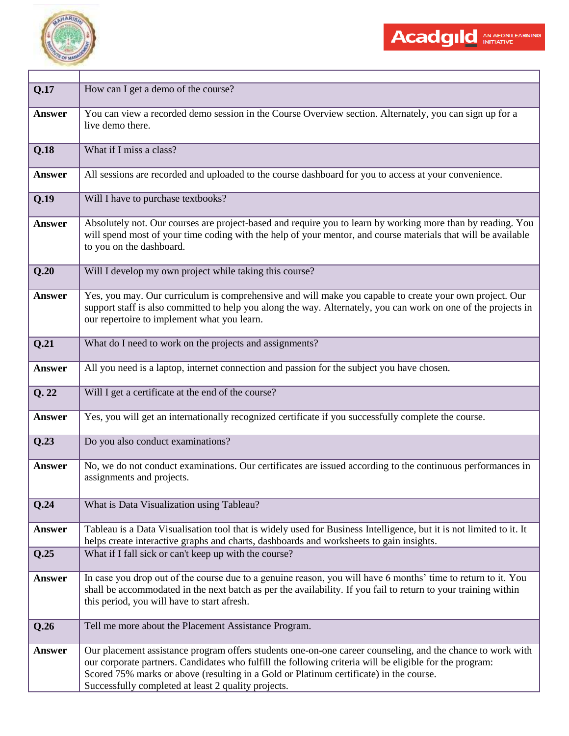

| Q.17          | How can I get a demo of the course?                                                                                                                                                                                                                                                                                                                                    |
|---------------|------------------------------------------------------------------------------------------------------------------------------------------------------------------------------------------------------------------------------------------------------------------------------------------------------------------------------------------------------------------------|
| <b>Answer</b> | You can view a recorded demo session in the Course Overview section. Alternately, you can sign up for a<br>live demo there.                                                                                                                                                                                                                                            |
| Q.18          | What if I miss a class?                                                                                                                                                                                                                                                                                                                                                |
| <b>Answer</b> | All sessions are recorded and uploaded to the course dashboard for you to access at your convenience.                                                                                                                                                                                                                                                                  |
| Q.19          | Will I have to purchase textbooks?                                                                                                                                                                                                                                                                                                                                     |
| <b>Answer</b> | Absolutely not. Our courses are project-based and require you to learn by working more than by reading. You<br>will spend most of your time coding with the help of your mentor, and course materials that will be available<br>to you on the dashboard.                                                                                                               |
| Q.20          | Will I develop my own project while taking this course?                                                                                                                                                                                                                                                                                                                |
| <b>Answer</b> | Yes, you may. Our curriculum is comprehensive and will make you capable to create your own project. Our<br>support staff is also committed to help you along the way. Alternately, you can work on one of the projects in<br>our repertoire to implement what you learn.                                                                                               |
| Q.21          | What do I need to work on the projects and assignments?                                                                                                                                                                                                                                                                                                                |
| <b>Answer</b> | All you need is a laptop, internet connection and passion for the subject you have chosen.                                                                                                                                                                                                                                                                             |
| Q.22          | Will I get a certificate at the end of the course?                                                                                                                                                                                                                                                                                                                     |
| Answer        | Yes, you will get an internationally recognized certificate if you successfully complete the course.                                                                                                                                                                                                                                                                   |
| Q.23          | Do you also conduct examinations?                                                                                                                                                                                                                                                                                                                                      |
| <b>Answer</b> | No, we do not conduct examinations. Our certificates are issued according to the continuous performances in<br>assignments and projects.                                                                                                                                                                                                                               |
| Q.24          | What is Data Visualization using Tableau?                                                                                                                                                                                                                                                                                                                              |
| <b>Answer</b> | Tableau is a Data Visualisation tool that is widely used for Business Intelligence, but it is not limited to it. It<br>helps create interactive graphs and charts, dashboards and worksheets to gain insights.                                                                                                                                                         |
| Q.25          | What if I fall sick or can't keep up with the course?                                                                                                                                                                                                                                                                                                                  |
| <b>Answer</b> | In case you drop out of the course due to a genuine reason, you will have 6 months' time to return to it. You<br>shall be accommodated in the next batch as per the availability. If you fail to return to your training within<br>this period, you will have to start afresh.                                                                                         |
| Q.26          | Tell me more about the Placement Assistance Program.                                                                                                                                                                                                                                                                                                                   |
| <b>Answer</b> | Our placement assistance program offers students one-on-one career counseling, and the chance to work with<br>our corporate partners. Candidates who fulfill the following criteria will be eligible for the program:<br>Scored 75% marks or above (resulting in a Gold or Platinum certificate) in the course.<br>Successfully completed at least 2 quality projects. |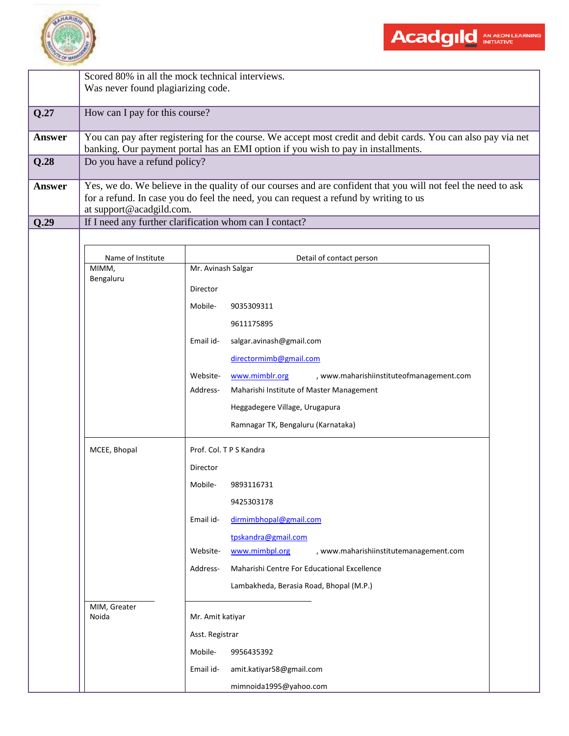

Scored 80% in all the mock technical interviews.

|               | Was never found plagiarizing code.                                                                                                                                                                                                                                 |                                                                                                                                                                                                                                                                                        |  |  |  |
|---------------|--------------------------------------------------------------------------------------------------------------------------------------------------------------------------------------------------------------------------------------------------------------------|----------------------------------------------------------------------------------------------------------------------------------------------------------------------------------------------------------------------------------------------------------------------------------------|--|--|--|
| Q.27          | How can I pay for this course?                                                                                                                                                                                                                                     |                                                                                                                                                                                                                                                                                        |  |  |  |
| Answer        | You can pay after registering for the course. We accept most credit and debit cards. You can also pay via net<br>banking. Our payment portal has an EMI option if you wish to pay in installments.                                                                 |                                                                                                                                                                                                                                                                                        |  |  |  |
| Q.28          | Do you have a refund policy?<br>Yes, we do. We believe in the quality of our courses and are confident that you will not feel the need to ask<br>for a refund. In case you do feel the need, you can request a refund by writing to us<br>at support@acadgild.com. |                                                                                                                                                                                                                                                                                        |  |  |  |
| <b>Answer</b> |                                                                                                                                                                                                                                                                    |                                                                                                                                                                                                                                                                                        |  |  |  |
| Q.29          |                                                                                                                                                                                                                                                                    | If I need any further clarification whom can I contact?                                                                                                                                                                                                                                |  |  |  |
|               | Name of Institute<br>MIMM,                                                                                                                                                                                                                                         | Detail of contact person<br>Mr. Avinash Salgar                                                                                                                                                                                                                                         |  |  |  |
|               | Bengaluru                                                                                                                                                                                                                                                          | Director<br>Mobile-<br>9035309311<br>9611175895<br>Email id-<br>salgar.avinash@gmail.com<br>directormimb@gmail.com<br>Website-<br>, www.maharishiinstituteofmanagement.com<br>www.mimblr.org<br>Address-<br>Maharishi Institute of Master Management<br>Heggadegere Village, Urugapura |  |  |  |
|               | MCEE, Bhopal                                                                                                                                                                                                                                                       | Ramnagar TK, Bengaluru (Karnataka)<br>Prof. Col. T P S Kandra                                                                                                                                                                                                                          |  |  |  |
|               |                                                                                                                                                                                                                                                                    | Director<br>Mobile-<br>9893116731<br>9425303178                                                                                                                                                                                                                                        |  |  |  |
|               |                                                                                                                                                                                                                                                                    | dirmimbhopal@gmail.com<br>Email id-<br>tpskandra@gmail.com<br>Website-<br>www.mimbpl.org<br>, www.maharishiinstitutemanagement.com<br>Maharishi Centre For Educational Excellence<br>Address-<br>Lambakheda, Berasia Road, Bhopal (M.P.)                                               |  |  |  |
|               | MIM, Greater<br>Noida                                                                                                                                                                                                                                              | Mr. Amit katiyar<br>Asst. Registrar<br>Mobile-<br>9956435392<br>Email id-<br>amit.katiyar58@gmail.com<br>mimnoida1995@yahoo.com                                                                                                                                                        |  |  |  |

Acadgild AN AEON LEARNING